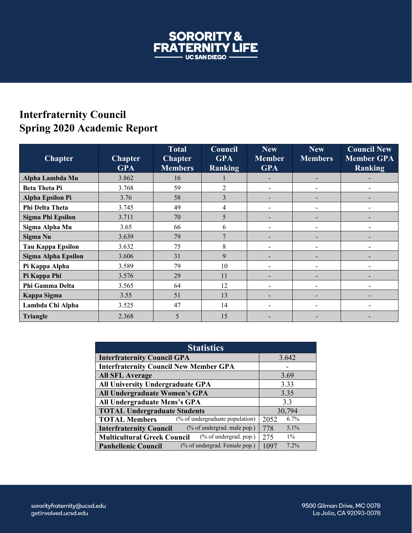

## **Interfraternity Council Spring 2020 Academic Report**

| <b>Chapter</b>             | <b>Chapter</b><br><b>GPA</b> | <b>Total</b><br><b>Chapter</b><br><b>Members</b> | Council<br><b>GPA</b><br><b>Ranking</b> | <b>New</b><br><b>Member</b><br><b>GPA</b> | <b>New</b><br><b>Members</b> | <b>Council New</b><br><b>Member GPA</b><br>Ranking |
|----------------------------|------------------------------|--------------------------------------------------|-----------------------------------------|-------------------------------------------|------------------------------|----------------------------------------------------|
| Alpha Lambda Mu            | 3.862                        | 16                                               |                                         |                                           | $\overline{\phantom{0}}$     |                                                    |
| <b>Beta Theta Pi</b>       | 3.768                        | 59                                               | $\overline{c}$                          |                                           |                              |                                                    |
| <b>Alpha Epsilon Pi</b>    | 3.76                         | 58                                               | 3                                       |                                           |                              |                                                    |
| Phi Delta Theta            | 3.745                        | 49                                               | 4                                       |                                           |                              |                                                    |
| Sigma Phi Epsilon          | 3.711                        | 70                                               | 5                                       |                                           |                              |                                                    |
| Sigma Alpha Mu             | 3.65                         | 66                                               | 6                                       |                                           |                              |                                                    |
| Sigma Nu                   | 3.639                        | 79                                               | 7                                       |                                           |                              |                                                    |
| Tau Kappa Epsilon          | 3.632                        | 75                                               | 8                                       |                                           |                              |                                                    |
| <b>Sigma Alpha Epsilon</b> | 3.606                        | 31                                               | 9                                       |                                           |                              |                                                    |
| Pi Kappa Alpha             | 3.589                        | 79                                               | 10                                      |                                           |                              |                                                    |
| Pi Kappa Phi               | 3.576                        | 29                                               | 11                                      |                                           |                              |                                                    |
| Phi Gamma Delta            | 3.565                        | 64                                               | 12                                      |                                           |                              |                                                    |
| Kappa Sigma                | 3.55                         | 51                                               | 13                                      |                                           |                              |                                                    |
| Lambda Chi Alpha           | 3.525                        | 47                                               | 14                                      |                                           |                              |                                                    |
| <b>Triangle</b>            | 2.368                        | 5                                                | 15                                      |                                           |                              |                                                    |

| <b>Statistics</b>                                               |                |  |  |  |
|-----------------------------------------------------------------|----------------|--|--|--|
| <b>Interfraternity Council GPA</b>                              | 3.642          |  |  |  |
| <b>Interfraternity Council New Member GPA</b>                   |                |  |  |  |
| <b>All SFL Average</b>                                          | 3.69           |  |  |  |
| All University Undergraduate GPA                                | 3.33           |  |  |  |
| All Undergraduate Women's GPA                                   | 3.35           |  |  |  |
| All Undergraduate Mens's GPA                                    | 3.3            |  |  |  |
| <b>TOTAL Undergraduate Students</b>                             | 30,794         |  |  |  |
| (% of undergraduate population)<br><b>TOTAL Members</b>         | 6.7%<br>2052   |  |  |  |
| (% of undergrad. male pop.)<br><b>Interfraternity Council</b>   | $5.1\%$<br>778 |  |  |  |
| $(\%$ of undergrad. pop.)<br><b>Multicultural Greek Council</b> | $1\%$<br>275   |  |  |  |
| (% of undergrad. Female pop.)<br><b>Panhellenic Council</b>     | 7.2%<br>1097   |  |  |  |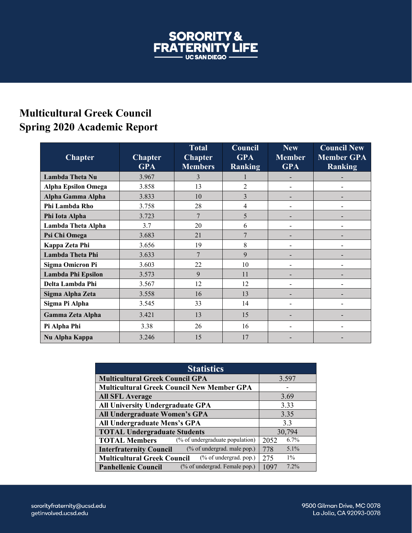

## **Multicultural Greek Council Spring 2020 Academic Report**

| <b>Chapter</b>             | <b>Chapter</b><br><b>GPA</b> | <b>Total</b><br><b>Chapter</b><br><b>Members</b> | Council<br><b>GPA</b><br><b>Ranking</b> | <b>New</b><br><b>Member</b><br><b>GPA</b> | <b>Council New</b><br><b>Member GPA</b><br><b>Ranking</b> |
|----------------------------|------------------------------|--------------------------------------------------|-----------------------------------------|-------------------------------------------|-----------------------------------------------------------|
| Lambda Theta Nu            | 3.967                        | 3                                                |                                         |                                           |                                                           |
| <b>Alpha Epsilon Omega</b> | 3.858                        | 13                                               | $\overline{2}$                          | $\overline{\phantom{0}}$                  |                                                           |
| Alpha Gamma Alpha          | 3.833                        | 10                                               | $\overline{3}$                          | -                                         |                                                           |
| Phi Lambda Rho             | 3.758                        | 28                                               | 4                                       |                                           |                                                           |
| Phi Iota Alpha             | 3.723                        | 7                                                | 5                                       |                                           |                                                           |
| Lambda Theta Alpha         | 3.7                          | 20                                               | 6                                       |                                           |                                                           |
| Psi Chi Omega              | 3.683                        | 21                                               | 7                                       |                                           |                                                           |
| Kappa Zeta Phi             | 3.656                        | 19                                               | 8                                       | $\overline{\phantom{a}}$                  |                                                           |
| Lambda Theta Phi           | 3.633                        | 7                                                | 9                                       |                                           |                                                           |
| <b>Sigma Omicron Pi</b>    | 3.603                        | 22                                               | 10                                      |                                           |                                                           |
| Lambda Phi Epsilon         | 3.573                        | 9                                                | 11                                      |                                           |                                                           |
| Delta Lambda Phi           | 3.567                        | 12                                               | 12                                      |                                           |                                                           |
| Sigma Alpha Zeta           | 3.558                        | 16                                               | 13                                      |                                           |                                                           |
| Sigma Pi Alpha             | 3.545                        | 33                                               | 14                                      | -                                         |                                                           |
| Gamma Zeta Alpha           | 3.421                        | 13                                               | 15                                      | -                                         |                                                           |
| Pi Alpha Phi               | 3.38                         | 26                                               | 16                                      | -                                         |                                                           |
| Nu Alpha Kappa             | 3.246                        | 15                                               | 17                                      |                                           |                                                           |

| <b>Statistics</b>                                               |                |  |  |  |
|-----------------------------------------------------------------|----------------|--|--|--|
| <b>Multicultural Greek Council GPA</b>                          | 3.597          |  |  |  |
| <b>Multicultural Greek Council New Member GPA</b>               |                |  |  |  |
| <b>All SFL Average</b>                                          | 3.69           |  |  |  |
| All University Undergraduate GPA                                | 3.33           |  |  |  |
| All Undergraduate Women's GPA                                   | 3.35           |  |  |  |
| All Undergraduate Mens's GPA                                    | 3.3            |  |  |  |
| <b>TOTAL Undergraduate Students</b>                             | 30,794         |  |  |  |
| (% of undergraduate population)<br><b>TOTAL Members</b>         | 6.7%<br>2052   |  |  |  |
| (% of undergrad. male pop.)<br><b>Interfraternity Council</b>   | $5.1\%$<br>778 |  |  |  |
| $(\%$ of undergrad. pop.)<br><b>Multicultural Greek Council</b> | $1\%$<br>275   |  |  |  |
| (% of undergrad. Female pop.)<br><b>Panhellenic Council</b>     | 7.2%<br>1097   |  |  |  |

9500 Gilman Drive, MC 0078 La Jolla, CA 92093-0078